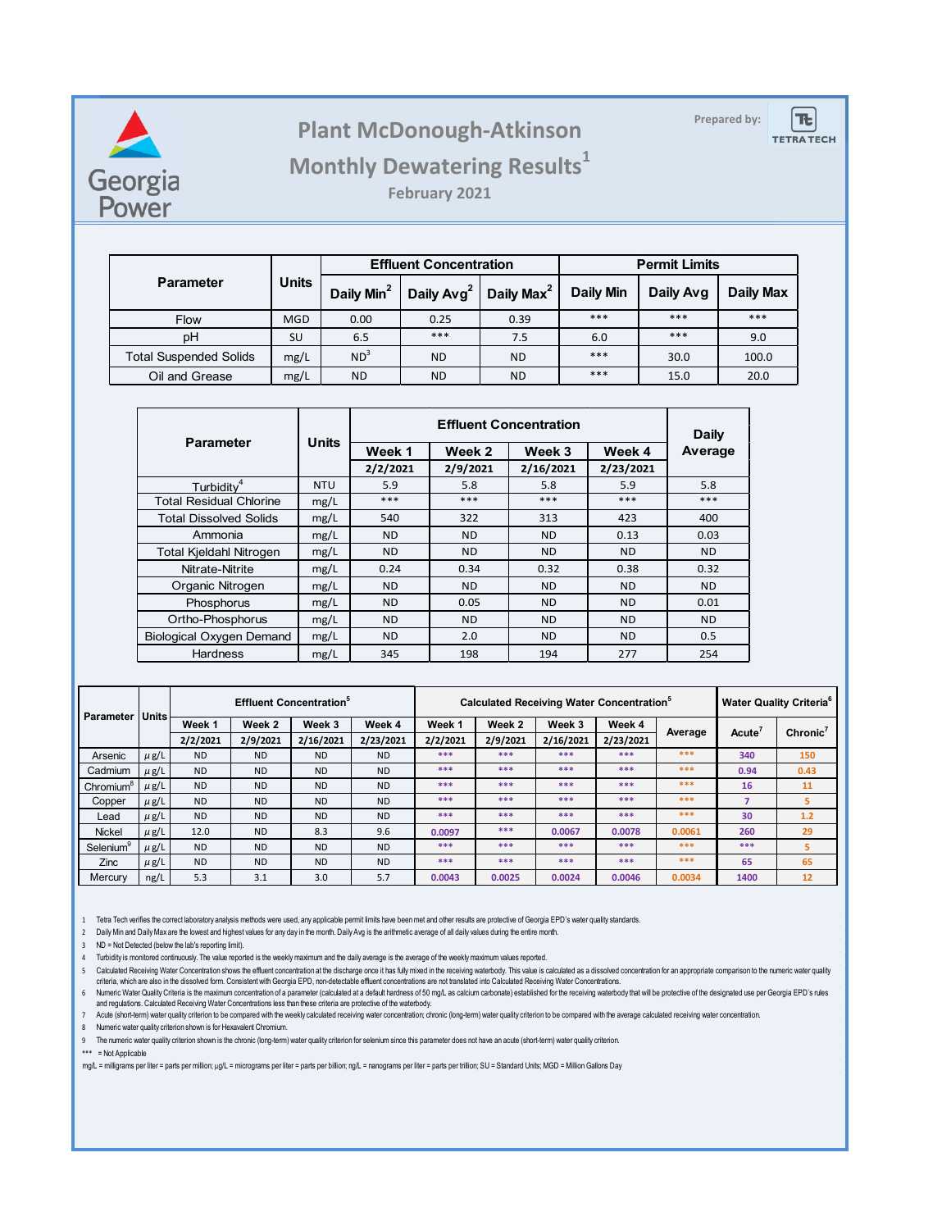

## **Prepared by: Plant McDonough-Atkinson**

 $T_{c}$ **TETRA TECH** 

## **Monthly Dewatering Results<sup>1</sup>**

**February 2021**

|                               | <b>Units</b> |                        | <b>Effluent Concentration</b> |                        | <b>Permit Limits</b> |           |                  |  |
|-------------------------------|--------------|------------------------|-------------------------------|------------------------|----------------------|-----------|------------------|--|
| <b>Parameter</b>              |              | Daily Min <sup>2</sup> | Daily Avg <sup>2</sup>        | Daily Max <sup>2</sup> | <b>Daily Min</b>     | Daily Avg | <b>Daily Max</b> |  |
| <b>Flow</b>                   | <b>MGD</b>   | 0.00                   | 0.25                          | 0.39                   | ***                  | ***       | ***              |  |
| рH                            | <b>SU</b>    | 6.5                    | ***                           | 7.5                    | 6.0                  | ***       | 9.0              |  |
| <b>Total Suspended Solids</b> | mg/L         | ND <sup>3</sup>        | <b>ND</b>                     | <b>ND</b>              | $***$                | 30.0      | 100.0            |  |
| Oil and Grease                | mg/L         | ND.                    | <b>ND</b>                     | <b>ND</b>              | ***                  | 15.0      | 20.0             |  |

| <b>Parameter</b>                | <b>Units</b> |           | <b>Daily</b> |           |           |         |
|---------------------------------|--------------|-----------|--------------|-----------|-----------|---------|
|                                 |              | Week 1    | Week 2       | Week 3    | Week 4    | Average |
|                                 |              | 2/2/2021  | 2/9/2021     | 2/16/2021 | 2/23/2021 |         |
| Turbidity <sup>4</sup>          | <b>NTU</b>   | 5.9       | 5.8          | 5.8       | 5.9       | 5.8     |
| <b>Total Residual Chlorine</b>  | mg/L         | ***       | ***          | ***       | $***$     | $***$   |
| <b>Total Dissolved Solids</b>   | mg/L         | 540       | 322          | 313       | 423       | 400     |
| Ammonia                         | mg/L         | ND.       | ND.          | ND.       | 0.13      | 0.03    |
| Total Kjeldahl Nitrogen         | mg/L         | ND.       | <b>ND</b>    | <b>ND</b> | <b>ND</b> | ND.     |
| Nitrate-Nitrite                 | mg/L         | 0.24      | 0.34         | 0.32      | 0.38      | 0.32    |
| Organic Nitrogen                | mg/L         | ND.       | <b>ND</b>    | <b>ND</b> | <b>ND</b> | ND.     |
| Phosphorus                      | mg/L         | <b>ND</b> | 0.05         | <b>ND</b> | <b>ND</b> | 0.01    |
| Ortho-Phosphorus                | mg/L         | <b>ND</b> | <b>ND</b>    | <b>ND</b> | <b>ND</b> | ND.     |
| <b>Biological Oxygen Demand</b> | mg/L         | <b>ND</b> | 2.0          | <b>ND</b> | <b>ND</b> | 0.5     |
| <b>Hardness</b>                 | mg/L         | 345       | 198          | 194       | 277       | 254     |

| <b>Parameter</b>      | l Units l | <b>Effluent Concentration</b> <sup>®</sup> |           |           |           | <b>Calculated Receiving Water Concentration</b> <sup>9</sup> |          |           |           |         | <b>Water Quality Criteria<sup>6</sup></b> |                      |
|-----------------------|-----------|--------------------------------------------|-----------|-----------|-----------|--------------------------------------------------------------|----------|-----------|-----------|---------|-------------------------------------------|----------------------|
|                       |           | Week 1                                     | Week 2    | Week 3    | Week 4    | Week 1                                                       | Week 2   | Week 3    | Week 4    |         |                                           | Chronic <sup>7</sup> |
|                       |           | 2/2/2021                                   | 2/9/2021  | 2/16/2021 | 2/23/2021 | 2/2/2021                                                     | 2/9/2021 | 2/16/2021 | 2/23/2021 | Average | Acute <sup>'</sup>                        |                      |
| Arsenic               | $\mu$ g/L | <b>ND</b>                                  | <b>ND</b> | <b>ND</b> | <b>ND</b> | ***                                                          | ***      | ***       | ***       | ***     | 340                                       | 150                  |
| Cadmium               | $\mu$ g/L | <b>ND</b>                                  | <b>ND</b> | <b>ND</b> | <b>ND</b> | ***                                                          | ***      | ***       | ***       | ***     | 0.94                                      | 0.43                 |
| Chromium <sup>8</sup> | $\mu$ g/L | <b>ND</b>                                  | <b>ND</b> | <b>ND</b> | <b>ND</b> | ***                                                          | ***      | ***       | ***       | ***     | 16                                        | 11                   |
| Copper                | $\mu$ g/L | <b>ND</b>                                  | <b>ND</b> | <b>ND</b> | <b>ND</b> | ***                                                          | ***      | ***       | ***       | ***     |                                           | 5                    |
| Lead                  | $\mu$ g/L | <b>ND</b>                                  | <b>ND</b> | <b>ND</b> | <b>ND</b> | ***                                                          | ***      | ***       | ***       | ***     | 30                                        | $1.2$                |
| <b>Nickel</b>         | $\mu$ g/L | 12.0                                       | <b>ND</b> | 8.3       | 9.6       | 0.0097                                                       | ***      | 0.0067    | 0.0078    | 0.0061  | 260                                       | 29                   |
| Selenium              | $\mu$ g/L | <b>ND</b>                                  | <b>ND</b> | <b>ND</b> | <b>ND</b> | ***                                                          | ***      | ***       | ***       | ***     | ***                                       | 5                    |
| Zinc                  | $\mu$ g/L | <b>ND</b>                                  | <b>ND</b> | <b>ND</b> | <b>ND</b> | ***                                                          | ***      | ***       | ***       | ***     | 65                                        | 65                   |
| Mercury               | ng/L      | 5.3                                        | 3.1       | 3.0       | 5.7       | 0.0043                                                       | 0.0025   | 0.0024    | 0.0046    | 0.0034  | 1400                                      | 12                   |

1 Tetra Tech verifies the correct laboratory analysis methods were used, any applicable permit limits have been met and other results are protective of Georgia EPD's water quality standards.

2 Daily Min and Daily Max are the lowest and highest values for any day in the month. Daily Avg is the arithmetic average of all daily values during the entire month.

3 ND = Not Detected (below the lab's reporting limit).

4 Turbidity is monitored continuously. The value reported is the weekly maximum and the daily average is the average of the weekly maximum values reported.

5 Calculated Receiving Water Concentration shows the effluent concentration at the discharge once it has fully mixed in the receiving waterbody. This value is calculated as a dissolved concentration for an appropriate comp criteria, which are also in the dissolved form. Consistent with Georgia EPD, non-detectable effluent concentrations are not translated into Calculated Receiving Water Concentrations.

6 Numeric Water Quality Criteria is the maximum concentration of a parameter (calculated at a default hardness of 50 mg/L as calcium carbonate) established for the receiving waterbody that will be protective of the designa and regulations. Calculated Receiving Water Concentrations less than these criteria are protective of the waterbody.

7 Acute (short-term) water quality criterion to be compared with the weekly calculated receiving water concentration; chronic (long-term) water quality criterion to be compared with the average calculated receiving water c

8 Numeric water quality criterion shown is for Hexavalent Chromium.

9 The numeric water quality criterion shown is the chronic (long-term) water quality criterion for selenium since this parameter does not have an acute (short-term) water quality criterion.

\*\*\* = Not Applicable

mg/L = milligrams per liter = parts per million; µg/L = micrograms per liter = parts per billion; ng/L = nanograms per liter = parts per trillion; SU = Standard Units; MGD = Million Gallons Day